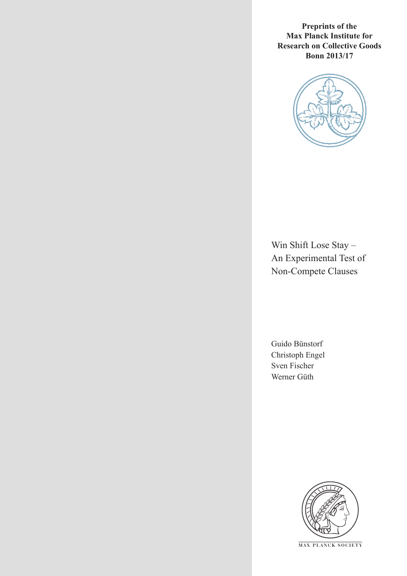**Preprints of the Max Planck Institute for Research on Collective Goods Bonn 2013/17**



Win Shift Lose Stay – An Experimental Test of Non-Compete Clauses

Guido Bünstorf Christoph Engel Sven Fischer Werner Güth



**M AX PLANCK SOCIETY**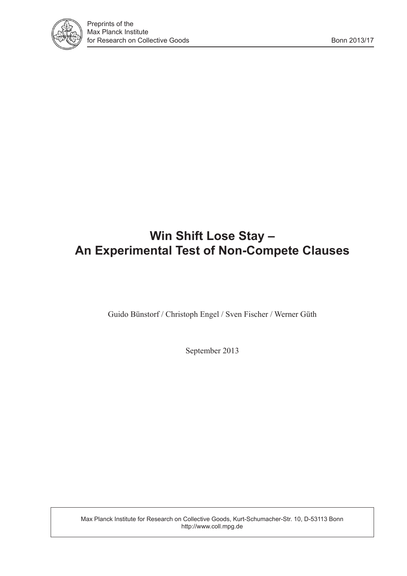

# **Win Shift Lose Stay – An Experimental Test of Non-Compete Clauses**

Guido Bünstorf / Christoph Engel / Sven Fischer / Werner Güth

September 2013

Max Planck Institute for Research on Collective Goods, Kurt-Schumacher-Str. 10, D-53113 Bonn http://www.coll.mpg.de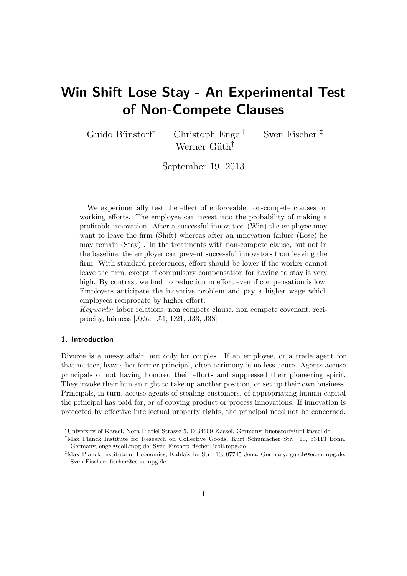## Win Shift Lose Stay - An Experimental Test of Non-Compete Clauses

Guido Bünstorf<sup>∗</sup> Christoph Engel<sup>†</sup> Sven Fischer<sup>†‡</sup> Werner Güth<sup>‡</sup>

September 19, 2013

We experimentally test the effect of enforceable non-compete clauses on working efforts. The employee can invest into the probability of making a profitable innovation. After a successful innovation (Win) the employee may want to leave the firm (Shift) whereas after an innovation failure (Lose) he may remain (Stay) . In the treatments with non-compete clause, but not in the baseline, the employer can prevent successful innovators from leaving the firm. With standard preferences, effort should be lower if the worker cannot leave the firm, except if compulsory compensation for having to stay is very high. By contrast we find no reduction in effort even if compensation is low. Employers anticipate the incentive problem and pay a higher wage which employees reciprocate by higher effort.

Keywords: labor relations, non compete clause, non compete covenant, reciprocity, fairness [JEL: L51, D21, J33, J38]

#### 1. Introduction

Divorce is a messy affair, not only for couples. If an employee, or a trade agent for that matter, leaves her former principal, often acrimony is no less acute. Agents accuse principals of not having honored their efforts and suppressed their pioneering spirit. They invoke their human right to take up another position, or set up their own business. Principals, in turn, accuse agents of stealing customers, of appropriating human capital the principal has paid for, or of copying product or process innovations. If innovation is protected by effective intellectual property rights, the principal need not be concerned.

<sup>∗</sup>University of Kassel, Nora-Platiel-Strasse 5, D-34109 Kassel, Germany, buenstorf@uni-kassel.de

<sup>†</sup>Max Planck Institute for Research on Collective Goods, Kurt Schumacher Str. 10, 53113 Bonn, Germany, engel@coll.mpg.de; Sven Fischer: fischer@coll.mpg.de

<sup>‡</sup>Max Planck Institute of Economics, Kahlaische Str. 10, 07745 Jena, Germany, gueth@econ.mpg.de; Sven Fischer: fischer@econ.mpg.de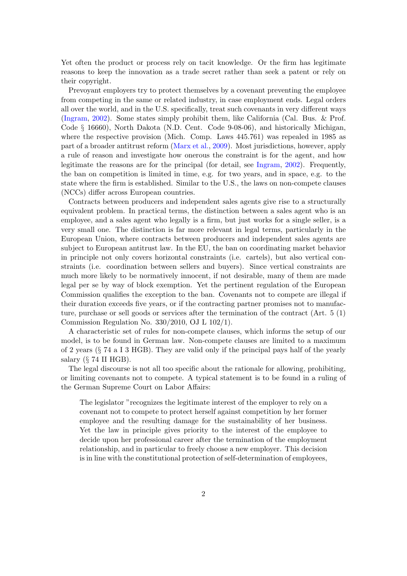Yet often the product or process rely on tacit knowledge. Or the firm has legitimate reasons to keep the innovation as a trade secret rather than seek a patent or rely on their copyright.

Prevoyant employers try to protect themselves by a covenant preventing the employee from competing in the same or related industry, in case employment ends. Legal orders all over the world, and in the U.S. specifically, treat such covenants in very different ways [\(Ingram,](#page-22-0) [2002\)](#page-22-0). Some states simply prohibit them, like California (Cal. Bus. & Prof. Code § 16660), North Dakota (N.D. Cent. Code 9-08-06), and historically Michigan, where the respective provision (Mich. Comp. Laws 445.761) was repealed in 1985 as part of a broader antitrust reform [\(Marx et al.,](#page-22-1) [2009\)](#page-22-1). Most jurisdictions, however, apply a rule of reason and investigate how onerous the constraint is for the agent, and how legitimate the reasons are for the principal (for detail, see [Ingram,](#page-22-0) [2002\)](#page-22-0). Frequently, the ban on competition is limited in time, e.g. for two years, and in space, e.g. to the state where the firm is established. Similar to the U.S., the laws on non-compete clauses (NCCs) differ across European countries.

Contracts between producers and independent sales agents give rise to a structurally equivalent problem. In practical terms, the distinction between a sales agent who is an employee, and a sales agent who legally is a firm, but just works for a single seller, is a very small one. The distinction is far more relevant in legal terms, particularly in the European Union, where contracts between producers and independent sales agents are subject to European antitrust law. In the EU, the ban on coordinating market behavior in principle not only covers horizontal constraints (i.e. cartels), but also vertical constraints (i.e. coordination between sellers and buyers). Since vertical constraints are much more likely to be normatively innocent, if not desirable, many of them are made legal per se by way of block exemption. Yet the pertinent regulation of the European Commission qualifies the exception to the ban. Covenants not to compete are illegal if their duration exceeds five years, or if the contracting partner promises not to manufacture, purchase or sell goods or services after the termination of the contract (Art. 5 (1) Commission Regulation No. 330/2010, OJ L 102/1).

A characteristic set of rules for non-compete clauses, which informs the setup of our model, is to be found in German law. Non-compete clauses are limited to a maximum of 2 years (§ 74 a I 3 HGB). They are valid only if the principal pays half of the yearly salary  $(\S$  74 II HGB).

The legal discourse is not all too specific about the rationale for allowing, prohibiting, or limiting covenants not to compete. A typical statement is to be found in a ruling of the German Supreme Court on Labor Affairs:

The legislator "recognizes the legitimate interest of the employer to rely on a covenant not to compete to protect herself against competition by her former employee and the resulting damage for the sustainability of her business. Yet the law in principle gives priority to the interest of the employee to decide upon her professional career after the termination of the employment relationship, and in particular to freely choose a new employer. This decision is in line with the constitutional protection of self-determination of employees,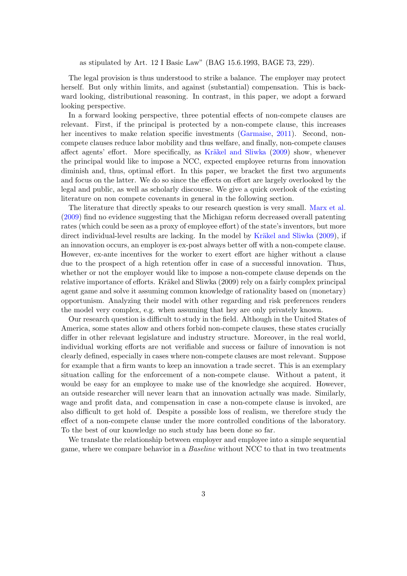as stipulated by Art. 12 I Basic Law" (BAG 15.6.1993, BAGE 73, 229).

The legal provision is thus understood to strike a balance. The employer may protect herself. But only within limits, and against (substantial) compensation. This is backward looking, distributional reasoning. In contrast, in this paper, we adopt a forward looking perspective.

In a forward looking perspective, three potential effects of non-compete clauses are relevant. First, if the principal is protected by a non-compete clause, this increases her incentives to make relation specific investments [\(Garmaise,](#page-22-2) [2011\)](#page-22-2). Second, noncompete clauses reduce labor mobility and thus welfare, and finally, non-compete clauses affect agents' effort. More specifically, as Kräkel and Sliwka [\(2009\)](#page-22-3) show, whenever the principal would like to impose a NCC, expected employee returns from innovation diminish and, thus, optimal effort. In this paper, we bracket the first two arguments and focus on the latter. We do so since the effects on effort are largely overlooked by the legal and public, as well as scholarly discourse. We give a quick overlook of the existing literature on non compete covenants in general in the following section.

The literature that directly speaks to our research question is very small. [Marx et al.](#page-22-1) [\(2009\)](#page-22-1) find no evidence suggesting that the Michigan reform decreased overall patenting rates (which could be seen as a proxy of employee effort) of the state's inventors, but more direct individual-level results are lacking. In the model by Kräkel and Sliwka [\(2009\)](#page-22-3), if an innovation occurs, an employer is ex-post always better off with a non-compete clause. However, ex-ante incentives for the worker to exert effort are higher without a clause due to the prospect of a high retention offer in case of a successful innovation. Thus, whether or not the employer would like to impose a non-compete clause depends on the relative importance of efforts. Kräkel and Sliwka (2009) rely on a fairly complex principal agent game and solve it assuming common knowledge of rationality based on (monetary) opportunism. Analyzing their model with other regarding and risk preferences renders the model very complex, e.g. when assuming that hey are only privately known.

Our research question is difficult to study in the field. Although in the United States of America, some states allow and others forbid non-compete clauses, these states crucially differ in other relevant legislature and industry structure. Moreover, in the real world, individual working efforts are not verifiable and success or failure of innovation is not clearly defined, especially in cases where non-compete clauses are most relevant. Suppose for example that a firm wants to keep an innovation a trade secret. This is an exemplary situation calling for the enforcement of a non-compete clause. Without a patent, it would be easy for an employee to make use of the knowledge she acquired. However, an outside researcher will never learn that an innovation actually was made. Similarly, wage and profit data, and compensation in case a non-compete clause is invoked, are also difficult to get hold of. Despite a possible loss of realism, we therefore study the effect of a non-compete clause under the more controlled conditions of the laboratory. To the best of our knowledge no such study has been done so far.

We translate the relationship between employer and employee into a simple sequential game, where we compare behavior in a Baseline without NCC to that in two treatments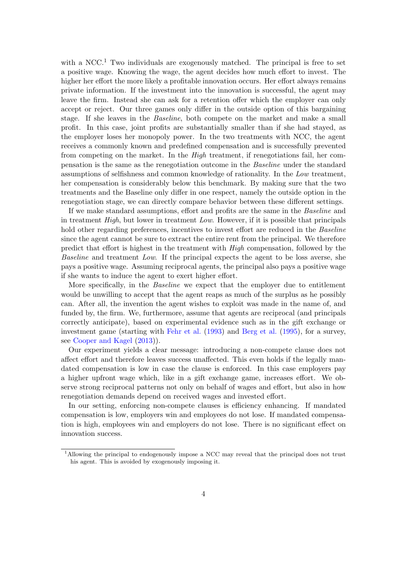with a NCC.<sup>1</sup> Two individuals are exogenously matched. The principal is free to set a positive wage. Knowing the wage, the agent decides how much effort to invest. The higher her effort the more likely a profitable innovation occurs. Her effort always remains private information. If the investment into the innovation is successful, the agent may leave the firm. Instead she can ask for a retention offer which the employer can only accept or reject. Our three games only differ in the outside option of this bargaining stage. If she leaves in the Baseline, both compete on the market and make a small profit. In this case, joint profits are substantially smaller than if she had stayed, as the employer loses her monopoly power. In the two treatments with NCC, the agent receives a commonly known and predefined compensation and is successfully prevented from competing on the market. In the High treatment, if renegotiations fail, her compensation is the same as the renegotiation outcome in the Baseline under the standard assumptions of selfishness and common knowledge of rationality. In the Low treatment, her compensation is considerably below this benchmark. By making sure that the two treatments and the Baseline only differ in one respect, namely the outside option in the renegotiation stage, we can directly compare behavior between these different settings.

If we make standard assumptions, effort and profits are the same in the Baseline and in treatment High, but lower in treatment Low. However, if it is possible that principals hold other regarding preferences, incentives to invest effort are reduced in the *Baseline* since the agent cannot be sure to extract the entire rent from the principal. We therefore predict that effort is highest in the treatment with High compensation, followed by the Baseline and treatment Low. If the principal expects the agent to be loss averse, she pays a positive wage. Assuming reciprocal agents, the principal also pays a positive wage if she wants to induce the agent to exert higher effort.

More specifically, in the Baseline we expect that the employer due to entitlement would be unwilling to accept that the agent reaps as much of the surplus as he possibly can. After all, the invention the agent wishes to exploit was made in the name of, and funded by, the firm. We, furthermore, assume that agents are reciprocal (and principals correctly anticipate), based on experimental evidence such as in the gift exchange or investment game (starting with [Fehr et al.](#page-22-4) [\(1993\)](#page-22-4) and [Berg et al.](#page-21-0) [\(1995\)](#page-21-0), for a survey, see [Cooper and Kagel](#page-21-1) [\(2013\)](#page-21-1)).

Our experiment yields a clear message: introducing a non-compete clause does not affect effort and therefore leaves success unaffected. This even holds if the legally mandated compensation is low in case the clause is enforced. In this case employers pay a higher upfront wage which, like in a gift exchange game, increases effort. We observe strong reciprocal patterns not only on behalf of wages and effort, but also in how renegotiation demands depend on received wages and invested effort.

In our setting, enforcing non-compete clauses is efficiency enhancing. If mandated compensation is low, employers win and employees do not lose. If mandated compensation is high, employees win and employers do not lose. There is no significant effect on innovation success.

<sup>1</sup>Allowing the principal to endogenously impose a NCC may reveal that the principal does not trust his agent. This is avoided by exogenously imposing it.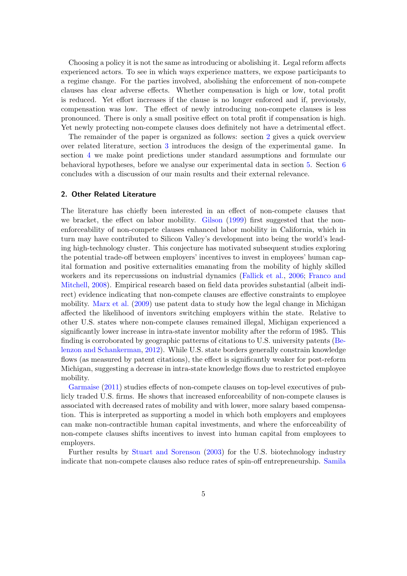Choosing a policy it is not the same as introducing or abolishing it. Legal reform affects experienced actors. To see in which ways experience matters, we expose participants to a regime change. For the parties involved, abolishing the enforcement of non-compete clauses has clear adverse effects. Whether compensation is high or low, total profit is reduced. Yet effort increases if the clause is no longer enforced and if, previously, compensation was low. The effect of newly introducing non-compete clauses is less pronounced. There is only a small positive effect on total profit if compensation is high. Yet newly protecting non-compete clauses does definitely not have a detrimental effect.

The remainder of the paper is organized as follows: section [2](#page-6-0) gives a quick overview over related literature, section [3](#page-7-0) introduces the design of the experimental game. In section [4](#page-9-0) we make point predictions under standard assumptions and formulate our behavioral hypotheses, before we analyse our experimental data in section [5.](#page-12-0) Section [6](#page-19-0) concludes with a discussion of our main results and their external relevance.

#### <span id="page-6-0"></span>2. Other Related Literature

The literature has chiefly been interested in an effect of non-compete clauses that we bracket, the effect on labor mobility. [Gilson](#page-22-5) [\(1999\)](#page-22-5) first suggested that the nonenforceability of non-compete clauses enhanced labor mobility in California, which in turn may have contributed to Silicon Valley's development into being the world's leading high-technology cluster. This conjecture has motivated subsequent studies exploring the potential trade-off between employers' incentives to invest in employees' human capital formation and positive externalities emanating from the mobility of highly skilled workers and its repercussions on industrial dynamics [\(Fallick et al.,](#page-21-2) [2006;](#page-21-2) [Franco and](#page-22-6) [Mitchell,](#page-22-6) [2008\)](#page-22-6). Empirical research based on field data provides substantial (albeit indirect) evidence indicating that non-compete clauses are effective constraints to employee mobility. [Marx et al.](#page-22-1) [\(2009\)](#page-22-1) use patent data to study how the legal change in Michigan affected the likelihood of inventors switching employers within the state. Relative to other U.S. states where non-compete clauses remained illegal, Michigan experienced a significantly lower increase in intra-state inventor mobility after the reform of 1985. This finding is corroborated by geographic patterns of citations to U.S. university patents [\(Be](#page-21-3)[lenzon and Schankerman,](#page-21-3) [2012\)](#page-21-3). While U.S. state borders generally constrain knowledge flows (as measured by patent citations), the effect is significantly weaker for post-reform Michigan, suggesting a decrease in intra-state knowledge flows due to restricted employee mobility.

[Garmaise](#page-22-2) [\(2011\)](#page-22-2) studies effects of non-compete clauses on top-level executives of publicly traded U.S. firms. He shows that increased enforceability of non-compete clauses is associated with decreased rates of mobility and with lower, more salary based compensation. This is interpreted as supporting a model in which both employers and employees can make non-contractible human capital investments, and where the enforceability of non-compete clauses shifts incentives to invest into human capital from employees to employers.

Further results by [Stuart and Sorenson](#page-22-7) [\(2003\)](#page-22-7) for the U.S. biotechnology industry indicate that non-compete clauses also reduce rates of spin-off entrepreneurship. [Samila](#page-22-8)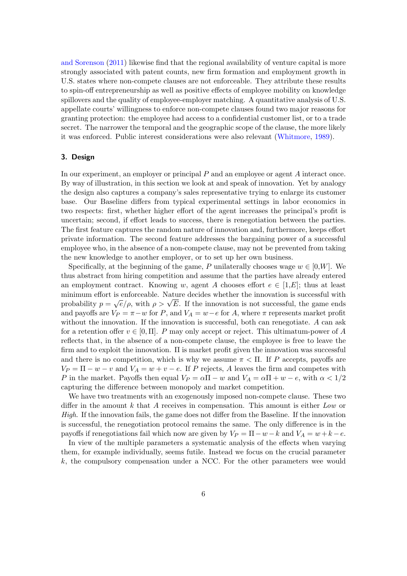[and Sorenson](#page-22-8) [\(2011\)](#page-22-8) likewise find that the regional availability of venture capital is more strongly associated with patent counts, new firm formation and employment growth in U.S. states where non-compete clauses are not enforceable. They attribute these results to spin-off entrepreneurship as well as positive effects of employee mobility on knowledge spillovers and the quality of employee-employer matching. A quantitative analysis of U.S. appellate courts' willingness to enforce non-compete clauses found two major reasons for granting protection: the employee had access to a confidential customer list, or to a trade secret. The narrower the temporal and the geographic scope of the clause, the more likely it was enforced. Public interest considerations were also relevant [\(Whitmore,](#page-23-0) [1989\)](#page-23-0).

#### <span id="page-7-0"></span>3. Design

In our experiment, an employer or principal P and an employee or agent A interact once. By way of illustration, in this section we look at and speak of innovation. Yet by analogy the design also captures a company's sales representative trying to enlarge its customer base. Our Baseline differs from typical experimental settings in labor economics in two respects: first, whether higher effort of the agent increases the principal's profit is uncertain; second, if effort leads to success, there is renegotiation between the parties. The first feature captures the random nature of innovation and, furthermore, keeps effort private information. The second feature addresses the bargaining power of a successful employee who, in the absence of a non-compete clause, may not be prevented from taking the new knowledge to another employer, or to set up her own business.

Specifically, at the beginning of the game, P unilaterally chooses wage  $w \in [0, W]$ . We thus abstract from hiring competition and assume that the parties have already entered an employment contract. Knowing w, agent A chooses effort  $e \in [1, E]$ ; thus at least minimum effort is enforceable. Nature decides whether the innovation is successful with minimum enort is enforceable. Nature decides whether the innovation is successful with<br>probability  $p = \sqrt{e}/\rho$ , with  $\rho > \sqrt{E}$ . If the innovation is not successful, the game ends and payoffs are  $V_P = \pi - w$  for P, and  $V_A = w - e$  for A, where  $\pi$  represents market profit without the innovation. If the innovation is successful, both can renegotiate. A can ask for a retention offer  $v \in [0, \Pi]$ . P may only accept or reject. This ultimatum-power of A reflects that, in the absence of a non-compete clause, the employee is free to leave the firm and to exploit the innovation. Π is market profit given the innovation was successful and there is no competition, which is why we assume  $\pi < \Pi$ . If P accepts, payoffs are  $V_P = \Pi - w - v$  and  $V_A = w + v - e$ . If P rejects, A leaves the firm and competes with P in the market. Payoffs then equal  $V_P = \alpha \Pi - w$  and  $V_A = \alpha \Pi + w - e$ , with  $\alpha < 1/2$ capturing the difference between monopoly and market competition.

We have two treatments with an exogenously imposed non-compete clause. These two differ in the amount k that A receives in compensation. This amount is either  $Low$  or High. If the innovation fails, the game does not differ from the Baseline. If the innovation is successful, the renegotiation protocol remains the same. The only difference is in the payoffs if renegotiations fail which now are given by  $V_P = \Pi - w - k$  and  $V_A = w + k - e$ .

In view of the multiple parameters a systematic analysis of the effects when varying them, for example individually, seems futile. Instead we focus on the crucial parameter k, the compulsory compensation under a NCC. For the other parameters wee would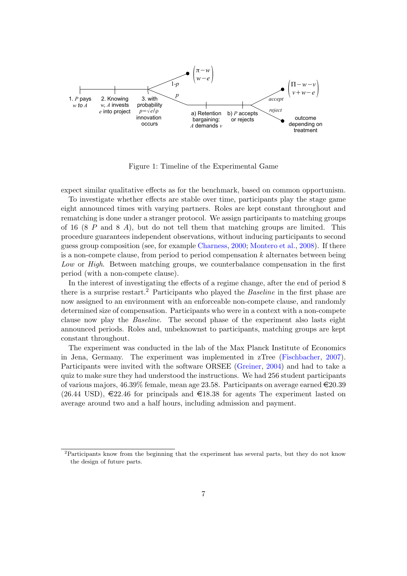

Figure 1: Timeline of the Experimental Game

expect similar qualitative effects as for the benchmark, based on common opportunism.

To investigate whether effects are stable over time, participants play the stage game eight announced times with varying partners. Roles are kept constant throughout and rematching is done under a stranger protocol. We assign participants to matching groups of 16 (8 P and 8 A), but do not tell them that matching groups are limited. This procedure guarantees independent observations, without inducing participants to second guess group composition (see, for example [Charness,](#page-21-4) [2000;](#page-21-4) [Montero et al.,](#page-22-9) [2008\)](#page-22-9). If there is a non-compete clause, from period to period compensation  $k$  alternates between being Low or High. Between matching groups, we counterbalance compensation in the first period (with a non-compete clause).

In the interest of investigating the effects of a regime change, after the end of period 8 there is a surprise restart.<sup>2</sup> Participants who played the *Baseline* in the first phase are now assigned to an environment with an enforceable non-compete clause, and randomly determined size of compensation. Participants who were in a context with a non-compete clause now play the Baseline. The second phase of the experiment also lasts eight announced periods. Roles and, unbeknownst to participants, matching groups are kept constant throughout.

The experiment was conducted in the lab of the Max Planck Institute of Economics in Jena, Germany. The experiment was implemented in zTree [\(Fischbacher,](#page-22-10) [2007\)](#page-22-10). Participants were invited with the software ORSEE [\(Greiner,](#page-22-11) [2004\)](#page-22-11) and had to take a quiz to make sure they had understood the instructions. We had 256 student participants of various majors,  $46.39\%$  female, mean age 23.58. Participants on average earned  $\in 20.39$  $(26.44 \text{ USD})$ ,  $\in 22.46$  for principals and  $\in 18.38$  for agents The experiment lasted on average around two and a half hours, including admission and payment.

<sup>&</sup>lt;sup>2</sup>Participants know from the beginning that the experiment has several parts, but they do not know the design of future parts.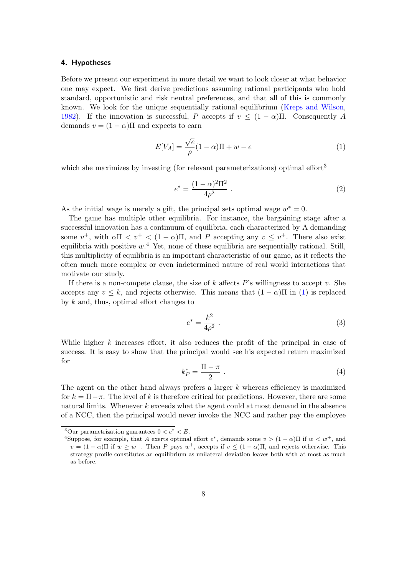#### <span id="page-9-0"></span>4. Hypotheses

Before we present our experiment in more detail we want to look closer at what behavior one may expect. We first derive predictions assuming rational participants who hold standard, opportunistic and risk neutral preferences, and that all of this is commonly known. We look for the unique sequentially rational equilibrium [\(Kreps and Wilson,](#page-22-12) [1982\)](#page-22-12). If the innovation is successful, P accepts if  $v < (1 - \alpha)\Pi$ . Consequently A demands  $v = (1 - \alpha)\Pi$  and expects to earn

<span id="page-9-1"></span>
$$
E[V_A] = \frac{\sqrt{e}}{\rho} (1 - \alpha)\Pi + w - e \tag{1}
$$

which she maximizes by investing (for relevant parameterizations) optimal effort<sup>3</sup>

$$
e^* = \frac{(1 - \alpha)^2 \Pi^2}{4\rho^2} \,. \tag{2}
$$

As the initial wage is merely a gift, the principal sets optimal wage  $w^* = 0$ .

The game has multiple other equilibria. For instance, the bargaining stage after a successful innovation has a continuum of equilibria, each characterized by A demanding some  $v^+$ , with  $\alpha \Pi < v^+ < (1 - \alpha)\Pi$ , and P accepting any  $v \leq v^+$ . There also exist equilibria with positive  $w^4$  Yet, none of these equilibria are sequentially rational. Still, this multiplicity of equilibria is an important characteristic of our game, as it reflects the often much more complex or even indetermined nature of real world interactions that motivate our study.

If there is a non-compete clause, the size of  $k$  affects  $P$ 's willingness to accept  $v$ . She accepts any  $v \leq k$ , and rejects otherwise. This means that  $(1 - \alpha)\Pi$  in [\(1\)](#page-9-1) is replaced by  $k$  and, thus, optimal effort changes to

$$
e^* = \frac{k^2}{4\rho^2} \ . \tag{3}
$$

While higher  $k$  increases effort, it also reduces the profit of the principal in case of success. It is easy to show that the principal would see his expected return maximized for

$$
k_P^* = \frac{\Pi - \pi}{2} \tag{4}
$$

The agent on the other hand always prefers a larger k whereas efficiency is maximized for  $k = \Pi - \pi$ . The level of k is therefore critical for predictions. However, there are some natural limits. Whenever  $k$  exceeds what the agent could at most demand in the absence of a NCC, then the principal would never invoke the NCC and rather pay the employee

<sup>&</sup>lt;sup>3</sup>Our parametrization guarantees  $0 < e^* < E$ .

<sup>&</sup>lt;sup>4</sup>Suppose, for example, that A exerts optimal effort  $e^*$ , demands some  $v > (1 - \alpha)\Pi$  if  $w < w^+$ , and  $v = (1 - \alpha)\Pi$  if  $w \geq w^+$ . Then P pays  $w^+$ , accepts if  $v \leq (1 - \alpha)\Pi$ , and rejects otherwise. This strategy profile constitutes an equilibrium as unilateral deviation leaves both with at most as much as before.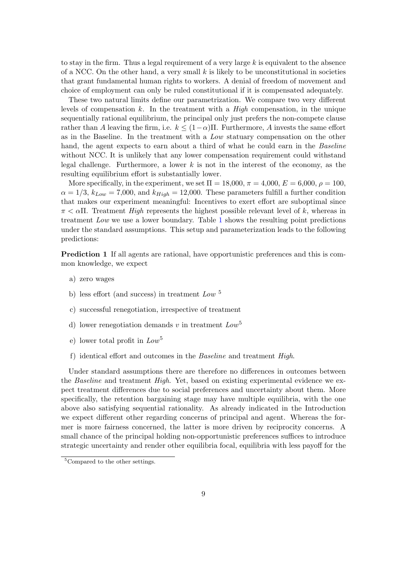to stay in the firm. Thus a legal requirement of a very large  $k$  is equivalent to the absence of a NCC. On the other hand, a very small  $k$  is likely to be unconstitutional in societies that grant fundamental human rights to workers. A denial of freedom of movement and choice of employment can only be ruled constitutional if it is compensated adequately.

These two natural limits define our parametrization. We compare two very different levels of compensation k. In the treatment with a  $High$  compensation, in the unique sequentially rational equilibrium, the principal only just prefers the non-compete clause rather than A leaving the firm, i.e.  $k \leq (1-\alpha)\Pi$ . Furthermore, A invests the same effort as in the Baseline. In the treatment with a Low statuary compensation on the other hand, the agent expects to earn about a third of what he could earn in the Baseline without NCC. It is unlikely that any lower compensation requirement could withstand legal challenge. Furthermore, a lower  $k$  is not in the interest of the economy, as the resulting equilibrium effort is substantially lower.

More specifically, in the experiment, we set  $\Pi = 18,000, \pi = 4,000, E = 6,000, \rho = 100,$  $\alpha = 1/3$ ,  $k_{Low} = 7,000$ , and  $k_{High} = 12,000$ . These parameters fulfill a further condition that makes our experiment meaningful: Incentives to exert effort are suboptimal since  $\pi < \alpha \Pi$ . Treatment High represents the highest possible relevant level of k, whereas in treatment Low we use a lower boundary. Table [1](#page-11-0) shows the resulting point predictions under the standard assumptions. This setup and parameterization leads to the following predictions:

<span id="page-10-0"></span>Prediction 1 If all agents are rational, have opportunistic preferences and this is common knowledge, we expect

- a) zero wages
- b) less effort (and success) in treatment  $Low<sup>5</sup>$
- c) successful renegotiation, irrespective of treatment
- d) lower renegotiation demands v in treatment  $Low^5$
- e) lower total profit in  $Low^5$
- f) identical effort and outcomes in the Baseline and treatment High.

Under standard assumptions there are therefore no differences in outcomes between the Baseline and treatment High. Yet, based on existing experimental evidence we expect treatment differences due to social preferences and uncertainty about them. More specifically, the retention bargaining stage may have multiple equilibria, with the one above also satisfying sequential rationality. As already indicated in the Introduction we expect different other regarding concerns of principal and agent. Whereas the former is more fairness concerned, the latter is more driven by reciprocity concerns. A small chance of the principal holding non-opportunistic preferences suffices to introduce strategic uncertainty and render other equilibria focal, equilibria with less payoff for the

<sup>5</sup>Compared to the other settings.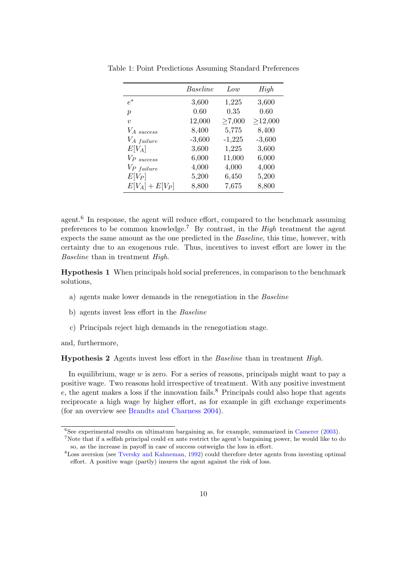<span id="page-11-0"></span>

|                     | Baseline | Low          | High          |
|---------------------|----------|--------------|---------------|
| $e^*$               | 3,600    | 1,225        | 3,600         |
| $\mathcal{p}$       | 0.60     | 0.35         | 0.60          |
| $\boldsymbol{\eta}$ | 12,000   | $\geq 7,000$ | $\geq$ 12,000 |
| $V_A$ success       | 8,400    | 5,775        | 8,400         |
| $V_A$ failure       | $-3,600$ | $-1,225$     | $-3,600$      |
| $E[V_A]$            | 3,600    | 1,225        | 3,600         |
| $V_{P\ success}$    | 6,000    | 11,000       | 6,000         |
| $V_{P \ failure}$   | 4,000    | 4,000        | 4,000         |
| $E[V_P]$            | 5,200    | 6,450        | 5,200         |
| $E[V_A]+E[V_P]$     | 8,800    | 7,675        | 8,800         |

Table 1: Point Predictions Assuming Standard Preferences

agent.<sup>6</sup> In response, the agent will reduce effort, compared to the benchmark assuming preferences to be common knowledge.<sup>7</sup> By contrast, in the *High* treatment the agent expects the same amount as the one predicted in the *Baseline*, this time, however, with certainty due to an exogenous rule. Thus, incentives to invest effort are lower in the Baseline than in treatment High.

Hypothesis 1 When principals hold social preferences, in comparison to the benchmark solutions,

- a) agents make lower demands in the renegotiation in the Baseline
- b) agents invest less effort in the Baseline
- <span id="page-11-1"></span>c) Principals reject high demands in the renegotiation stage.

and, furthermore,

Hypothesis 2 Agents invest less effort in the Baseline than in treatment High.

In equilibrium, wage  $w$  is zero. For a series of reasons, principals might want to pay a positive wage. Two reasons hold irrespective of treatment. With any positive investment  $e$ , the agent makes a loss if the innovation fails.<sup>8</sup> Principals could also hope that agents reciprocate a high wage by higher effort, as for example in gift exchange experiments (for an overview see [Brandts and Charness](#page-21-5) [2004\)](#page-21-5).

 $6$ See experimental results on ultimatum bargaining as, for example, summarized in [Camerer](#page-21-6) [\(2003\)](#page-21-6).

<sup>7</sup>Note that if a selfish principal could ex ante restrict the agent's bargaining power, he would like to do so, as the increase in payoff in case of success outweighs the loss in effort.

<sup>8</sup>Loss aversion (see [Tversky and Kahneman,](#page-22-13) [1992\)](#page-22-13) could therefore deter agents from investing optimal effort. A positive wage (partly) insures the agent against the risk of loss.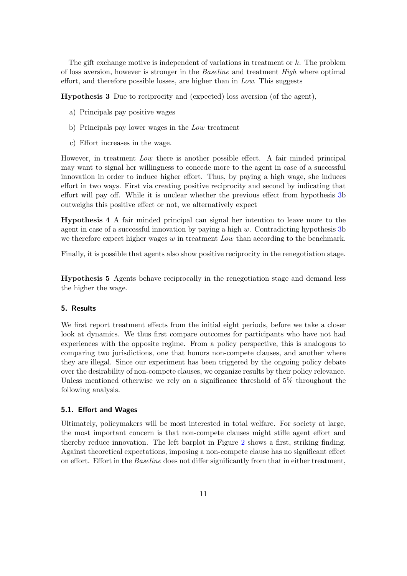The gift exchange motive is independent of variations in treatment or  $k$ . The problem of loss aversion, however is stronger in the Baseline and treatment High where optimal effort, and therefore possible losses, are higher than in Low. This suggests

Hypothesis 3 Due to reciprocity and (expected) loss aversion (of the agent),

- <span id="page-12-1"></span>a) Principals pay positive wages
- b) Principals pay lower wages in the Low treatment
- <span id="page-12-2"></span>c) Effort increases in the wage.

However, in treatment Low there is another possible effect. A fair minded principal may want to signal her willingness to concede more to the agent in case of a successful innovation in order to induce higher effort. Thus, by paying a high wage, she induces effort in two ways. First via creating positive reciprocity and second by indicating that effort will pay off. While it is unclear whether the previous effect from hypothesis [3b](#page-12-1) outweighs this positive effect or not, we alternatively expect

Hypothesis 4 A fair minded principal can signal her intention to leave more to the agent in case of a successful innovation by paying a high  $w$ . Contradicting hypothesis [3b](#page-12-1) we therefore expect higher wages  $w$  in treatment  $Low$  than according to the benchmark.

Finally, it is possible that agents also show positive reciprocity in the renegotiation stage.

Hypothesis 5 Agents behave reciprocally in the renegotiation stage and demand less the higher the wage.

#### <span id="page-12-0"></span>5. Results

We first report treatment effects from the initial eight periods, before we take a closer look at dynamics. We thus first compare outcomes for participants who have not had experiences with the opposite regime. From a policy perspective, this is analogous to comparing two jurisdictions, one that honors non-compete clauses, and another where they are illegal. Since our experiment has been triggered by the ongoing policy debate over the desirability of non-compete clauses, we organize results by their policy relevance. Unless mentioned otherwise we rely on a significance threshold of 5% throughout the following analysis.

#### 5.1. Effort and Wages

Ultimately, policymakers will be most interested in total welfare. For society at large, the most important concern is that non-compete clauses might stifle agent effort and thereby reduce innovation. The left barplot in Figure [2](#page-13-0) shows a first, striking finding. Against theoretical expectations, imposing a non-compete clause has no significant effect on effort. Effort in the *Baseline* does not differ significantly from that in either treatment,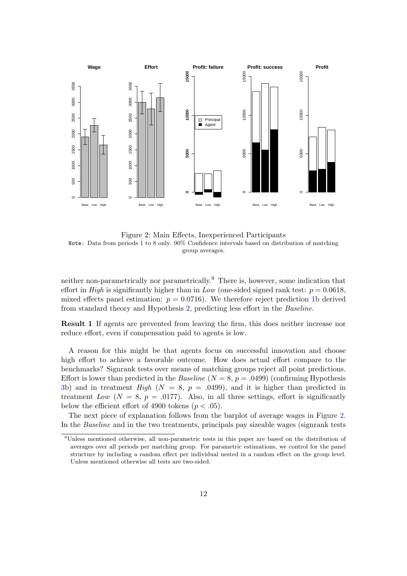

<span id="page-13-0"></span>Figure 2: Main Effects, Inexperienced Participants Note: Data from periods 1 to 8 only. 90% Confidence intervals based on distribution of matching group averages.

neither non-parametrically nor parametrically.<sup>9</sup> There is, however, some indication that effort in High is significantly higher than in  $Low$  (one-sided signed rank test:  $p = 0.0618$ , mixed effects panel estimation:  $p = 0.0716$ ). We therefore reject prediction [1b](#page-10-0) derived from standard theory and Hypothesis [2,](#page-11-1) predicting less effort in the Baseline.

Result 1 If agents are prevented from leaving the firm, this does neither increase nor reduce effort, even if compensation paid to agents is low.

A reason for this might be that agents focus on successful innovation and choose high effort to achieve a favorable outcome. How does actual effort compare to the benchmarks? Signrank tests over means of matching groups reject all point predictions. Effort is lower than predicted in the *Baseline* ( $N = 8$ ,  $p = .0499$ ) (confirming Hypothesis [3b](#page-12-1)) and in treatment High ( $N = 8$ ,  $p = .0499$ ), and it is higher than predicted in treatment Low  $(N = 8, p = .0177)$ . Also, in all three settings, effort is significantly below the efficient effort of 4900 tokens ( $p < .05$ ).

The next piece of explanation follows from the barplot of average wages in Figure [2.](#page-13-0) In the Baseline and in the two treatments, principals pay sizeable wages (signrank tests

<sup>9</sup>Unless mentioned otherwise, all non-parametric tests in this paper are based on the distribution of averages over all periods per matching group. For parametric estimations, we control for the panel structure by including a random effect per individual nested in a random effect on the group level. Unless mentioned otherwise all tests are two-sided.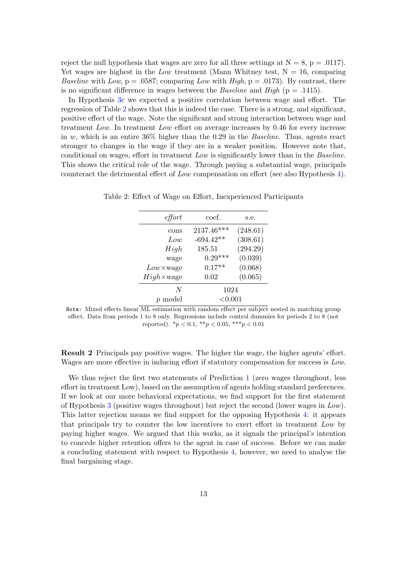reject the null hypothesis that wages are zero for all three settings at  $N = 8$ ,  $p = .0117$ . Yet wages are highest in the Low treatment (Mann Whitney test,  $N = 16$ , comparing *Baseline* with Low,  $p = .0587$ ; comparing Low with High,  $p = .0173$ ). By contrast, there is no significant difference in wages between the *Baseline* and *High* ( $p = .1415$ ).

In Hypothesis [3c](#page-12-1) we expected a positive correlation between wage and effort. The regression of Table [2](#page-14-0) shows that this is indeed the case. There is a strong, and significant, positive effect of the wage. Note the significant and strong interaction between wage and treatment Low. In treatment Low effort on average increases by 0.46 for every increase in w, which is an entire  $36\%$  higher than the 0.29 in the *Baseline*. Thus, agents react stronger to changes in the wage if they are in a weaker position. However note that, conditional on wages, effort in treatment Low is significantly lower than in the Baseline. This shows the critical role of the wage. Through paying a substantial wage, principals counteract the detrimental effect of Low compensation on effort (see also Hypothesis [4\)](#page-12-2).

<span id="page-14-0"></span>

| $_{\it effort}$    | coef.       | s.e.     |
|--------------------|-------------|----------|
| cons               | 2137.46***  | (248.61) |
| Low                | $-694.42**$ | (308.61) |
| High               | 185.51      | (294.29) |
| wage               | $0.29***$   | (0.039)  |
| $Low \times$ wage  | $0.17**$    | (0.068)  |
| $High \times$ wage | 0.02        | (0.065)  |
| N                  | 1024        |          |
| p model            | ${<}0.001$  |          |

Table 2: Effect of Wage on Effort, Inexperienced Participants

Note: Mixed effects linear ML estimation with random effect per subject nested in matching group effect. Data from periods 1 to 8 only. Regressions include control dummies for periods 2 to 8 (not reported).  $\binom{*}{p}$  < 0.1,  $\binom{*}{p}$  < 0.05,  $\binom{*}{p}$  < 0.01

Result 2 Principals pay positive wages. The higher the wage, the higher agents' effort. Wages are more effective in inducing effort if statutory compensation for success is Low.

We thus reject the first two statements of Prediction [1](#page-10-0) (zero wages throughout, less effort in treatment Low), based on the assumption of agents holding standard preferences. If we look at our more behavioral expectations, we find support for the first statement of Hypothesis [3](#page-12-1) (positive wages throughout) but reject the second (lower wages in Low). This latter rejection means we find support for the opposing Hypothesis [4:](#page-12-2) it appears that principals try to counter the low incentives to exert effort in treatment Low by paying higher wages. We argued that this works, as it signals the principal's intention to concede higher retention offers to the agent in case of success. Before we can make a concluding statement with respect to Hypothesis [4,](#page-12-2) however, we need to analyse the final bargaining stage.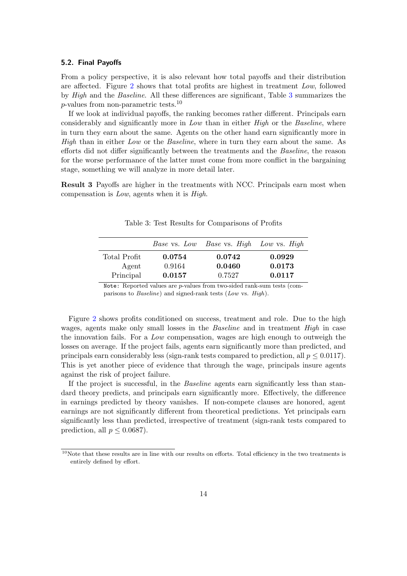#### 5.2. Final Payoffs

From a policy perspective, it is also relevant how total payoffs and their distribution are affected. Figure [2](#page-13-0) shows that total profits are highest in treatment Low, followed by High and the Baseline. All these differences are significant, Table [3](#page-15-0) summarizes the  $p$ -values from non-parametric tests.<sup>10</sup>

If we look at individual payoffs, the ranking becomes rather different. Principals earn considerably and significantly more in Low than in either High or the Baseline, where in turn they earn about the same. Agents on the other hand earn significantly more in High than in either Low or the Baseline, where in turn they earn about the same. As efforts did not differ significantly between the treatments and the Baseline, the reason for the worse performance of the latter must come from more conflict in the bargaining stage, something we will analyze in more detail later.

Result 3 Payoffs are higher in the treatments with NCC. Principals earn most when compensation is Low, agents when it is High.

|              | <i>Base</i> vs. Low | <i>Base</i> vs. <i>High Low</i> vs. <i>High</i> |        |
|--------------|---------------------|-------------------------------------------------|--------|
| Total Profit | 0.0754              | 0.0742                                          | 0.0929 |
| Agent        | 0.9164              | 0.0460                                          | 0.0173 |
| Principal    | 0.0157              | 0.7527                                          | 0.0117 |

<span id="page-15-0"></span>Table 3: Test Results for Comparisons of Profits

Note: Reported values are p-values from two-sided rank-sum tests (comparisons to Baseline) and signed-rank tests (Low vs. High).

Figure [2](#page-13-0) shows profits conditioned on success, treatment and role. Due to the high wages, agents make only small losses in the *Baseline* and in treatment *High* in case the innovation fails. For a Low compensation, wages are high enough to outweigh the losses on average. If the project fails, agents earn significantly more than predicted, and principals earn considerably less (sign-rank tests compared to prediction, all  $p \leq 0.0117$ ). This is yet another piece of evidence that through the wage, principals insure agents against the risk of project failure.

If the project is successful, in the Baseline agents earn significantly less than standard theory predicts, and principals earn significantly more. Effectively, the difference in earnings predicted by theory vanishes. If non-compete clauses are honored, agent earnings are not significantly different from theoretical predictions. Yet principals earn significantly less than predicted, irrespective of treatment (sign-rank tests compared to prediction, all  $p \leq 0.0687$ ).

 $10$ Note that these results are in line with our results on efforts. Total efficiency in the two treatments is entirely defined by effort.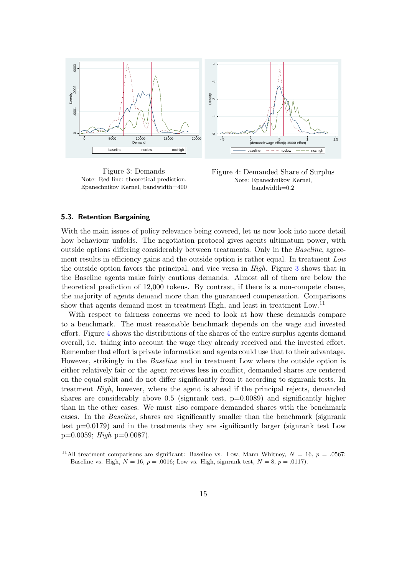

<span id="page-16-0"></span>Figure 3: Demands Note: Red line: theoretical prediction. Epanechnikov Kernel, bandwidth=400

<span id="page-16-1"></span>Figure 4: Demanded Share of Surplus Note: Epanechnikov Kernel, bandwidth=0.2

#### 5.3. Retention Bargaining

With the main issues of policy relevance being covered, let us now look into more detail how behaviour unfolds. The negotiation protocol gives agents ultimatum power, with outside options differing considerably between treatments. Only in the Baseline, agreement results in efficiency gains and the outside option is rather equal. In treatment Low the outside option favors the principal, and vice versa in *High*. Figure [3](#page-16-0) shows that in the Baseline agents make fairly cautious demands. Almost all of them are below the theoretical prediction of 12,000 tokens. By contrast, if there is a non-compete clause, the majority of agents demand more than the guaranteed compensation. Comparisons show that agents demand most in treatment High, and least in treatment Low.<sup>11</sup>

With respect to fairness concerns we need to look at how these demands compare to a benchmark. The most reasonable benchmark depends on the wage and invested effort. Figure [4](#page-16-1) shows the distributions of the shares of the entire surplus agents demand overall, i.e. taking into account the wage they already received and the invested effort. Remember that effort is private information and agents could use that to their advantage. However, strikingly in the Baseline and in treatment Low where the outside option is either relatively fair or the agent receives less in conflict, demanded shares are centered on the equal split and do not differ significantly from it according to signrank tests. In treatment High, however, where the agent is ahead if the principal rejects, demanded shares are considerably above 0.5 (signrank test,  $p=0.0089$ ) and significantly higher than in the other cases. We must also compare demanded shares with the benchmark cases. In the Baseline, shares are significantly smaller than the benchmark (signrank test p=0.0179) and in the treatments they are significantly larger (signrank test Low  $p=0.0059$ ; High  $p=0.0087$ ).

<sup>&</sup>lt;sup>11</sup>All treatment comparisons are significant: Baseline vs. Low, Mann Whitney,  $N = 16$ ,  $p = .0567$ ; Baseline vs. High,  $N = 16$ ,  $p = .0016$ ; Low vs. High, signrank test,  $N = 8$ ,  $p = .0117$ .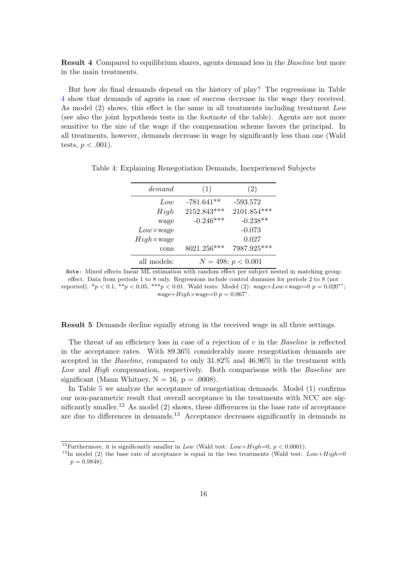**Result 4** Compared to equilibrium shares, agents demand less in the *Baseline* but more in the main treatments.

But how do final demands depend on the history of play? The regressions in Table [4](#page-17-0) show that demands of agents in case of success decrease in the wage they received. As model (2) shows, this effect is the same in all treatments including treatment Low (see also the joint hypothesis tests in the footnote of the table). Agents are not more sensitive to the size of the wage if the compensation scheme favors the principal. In all treatments, however, demands decrease in wage by significantly less than one (Wald tests,  $p < .001$ ).

<span id="page-17-0"></span>

| demand             | (1)          | (2)                  |
|--------------------|--------------|----------------------|
| Low                | $-781.641**$ | $-593.572$           |
| High               | 2152.843***  | 2101.854***          |
| wage               | $-0.246***$  | $-0.238**$           |
| $Low \times$ wage  |              | $-0.073$             |
| $High \times$ wage |              | 0.027                |
| cons               | 8021.256***  | 7987.925***          |
| all models:        |              | $N = 498; p < 0.001$ |

Table 4: Explaining Renegotiation Demands, Inexperienced Subjects

Note: Mixed effects linear ML estimation with random effect per subject nested in matching group effect. Data from periods 1 to 8 only. Regressions include control dummies for periods 2 to 8 (not reported).  $*p < 0.1, **p < 0.05, ***p < 0.01$ . Wald tests: Model (2): wage+Low×wage=0  $p = 0.020**;$ wage+ $High \times$ wage=0  $p = 0.067^*$ .

Result 5 Demands decline equally strong in the received wage in all three settings.

The threat of an efficiency loss in case of a rejection of  $v$  in the *Baseline* is reflected in the acceptance rates. With 89.36% considerably more renegotiation demands are accepted in the Baseline, compared to only 31.82% and 46.96% in the treatment with Low and High compensation, respectively. Both comparisons with the Baseline are significant (Mann Whitney,  $N = 16$ ,  $p = .0008$ ).

In Table [5](#page-18-0) we analyze the acceptance of renegotiation demands. Model (1) confirms our non-parametric result that overall acceptance in the treatments with NCC are significantly smaller.<sup>12</sup> As model (2) shows, these differences in the base rate of acceptance are due to differences in demands.<sup>13</sup> Acceptance decreases significantly in demands in

<sup>&</sup>lt;sup>12</sup>Furthermore, it is significantly smaller in *Low* (Wald test: *Low+High*=0,  $p < 0.0001$ ).

<sup>&</sup>lt;sup>13</sup>In model (2) the base rate of acceptance is equal in the two treatments (Wald test:  $Low+High=0$  $p = 0.9848$ .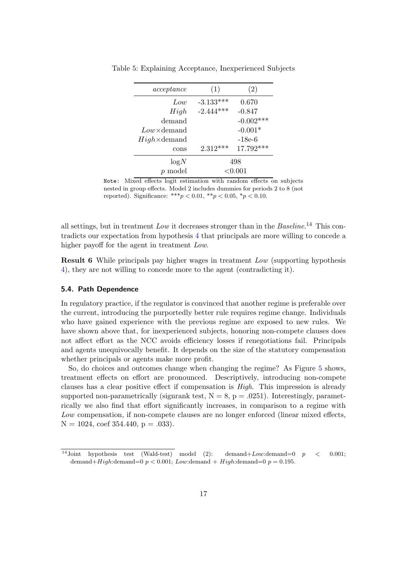<span id="page-18-0"></span>

| acceptance           | (1)         | (2)         |
|----------------------|-------------|-------------|
| Low                  | $-3.133***$ | 0.670       |
| High                 | $-2.444***$ | $-0.847$    |
| demand               |             | $-0.002***$ |
| <i>Low</i> ×demand   |             | $-0.001*$   |
| $High \times demand$ |             | $-18e-6$    |
| cons                 | $2.312***$  | 17.792***   |
| logN                 | 498         |             |
| model                | ${<}0.001$  |             |

Table 5: Explaining Acceptance, Inexperienced Subjects

Note: Mixed effects logit estimation with random effects on subjects nested in group effects. Model 2 includes dummies for periods 2 to 8 (not reported). Significance: \*\*\* $p < 0.01$ , \*\* $p < 0.05$ , \* $p < 0.10$ .

all settings, but in treatment  $Low$  it decreases stronger than in the  $Baseline<sup>.14</sup>$  This contradicts our expectation from hypothesis [4](#page-12-2) that principals are more willing to concede a higher payoff for the agent in treatment Low.

**Result 6** While principals pay higher wages in treatment Low (supporting hypothesis) [4\)](#page-12-2), they are not willing to concede more to the agent (contradicting it).

### 5.4. Path Dependence

In regulatory practice, if the regulator is convinced that another regime is preferable over the current, introducing the purportedly better rule requires regime change. Individuals who have gained experience with the previous regime are exposed to new rules. We have shown above that, for inexperienced subjects, honoring non-compete clauses does not affect effort as the NCC avoids efficiency losses if renegotiations fail. Principals and agents unequivocally benefit. It depends on the size of the statutory compensation whether principals or agents make more profit.

So, do choices and outcomes change when changing the regime? As Figure [5](#page-19-1) shows, treatment effects on effort are pronounced. Descriptively, introducing non-compete clauses has a clear positive effect if compensation is High. This impression is already supported non-parametrically (signrank test,  $N = 8$ ,  $p = .0251$ ). Interestingly, parametrically we also find that effort significantly increases, in comparison to a regime with Low compensation, if non-compete clauses are no longer enforced (linear mixed effects,  $N = 1024$ , coef 354.440, p = .033).

<sup>&</sup>lt;sup>14</sup>Joint hypothesis test (Wald-test) model (2): demand+Low:demand=0  $p < 0.001$ ; demand+High:demand=0  $p < 0.001$ ; Low:demand + High:demand=0  $p = 0.195$ .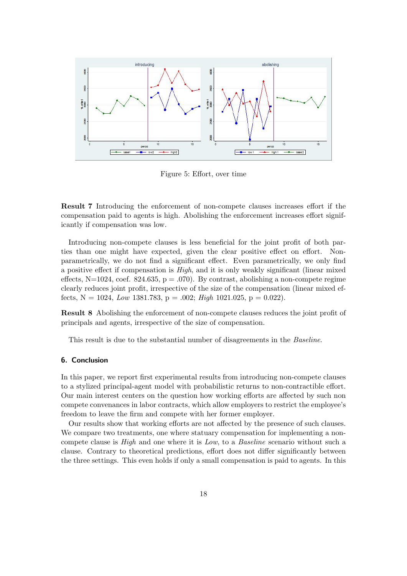

<span id="page-19-1"></span>Figure 5: Effort, over time

Result 7 Introducing the enforcement of non-compete clauses increases effort if the compensation paid to agents is high. Abolishing the enforcement increases effort significantly if compensation was low.

Introducing non-compete clauses is less beneficial for the joint profit of both parties than one might have expected, given the clear positive effect on effort. Nonparametrically, we do not find a significant effect. Even parametrically, we only find a positive effect if compensation is High, and it is only weakly significant (linear mixed effects, N=1024, coef. 824.635, p = .070). By contrast, abolishing a non-compete regime clearly reduces joint profit, irrespective of the size of the compensation (linear mixed effects,  $N = 1024$ , Low 1381.783,  $p = .002$ ; High 1021.025,  $p = 0.022$ ).

Result 8 Abolishing the enforcement of non-compete clauses reduces the joint profit of principals and agents, irrespective of the size of compensation.

This result is due to the substantial number of disagreements in the Baseline.

## <span id="page-19-0"></span>6. Conclusion

In this paper, we report first experimental results from introducing non-compete clauses to a stylized principal-agent model with probabilistic returns to non-contractible effort. Our main interest centers on the question how working efforts are affected by such non compete convenances in labor contracts, which allow employers to restrict the employee's freedom to leave the firm and compete with her former employer.

Our results show that working efforts are not affected by the presence of such clauses. We compare two treatments, one where statuary compensation for implementing a noncompete clause is High and one where it is Low, to a Baseline scenario without such a clause. Contrary to theoretical predictions, effort does not differ significantly between the three settings. This even holds if only a small compensation is paid to agents. In this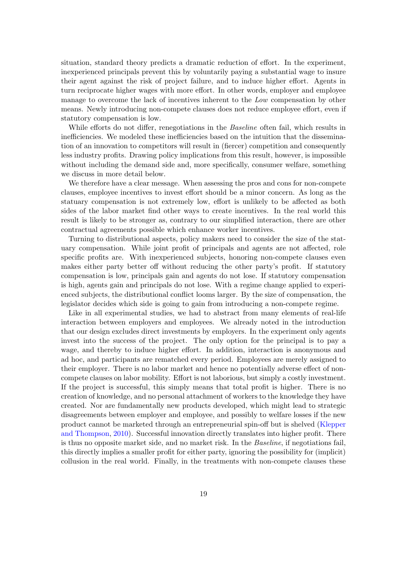situation, standard theory predicts a dramatic reduction of effort. In the experiment, inexperienced principals prevent this by voluntarily paying a substantial wage to insure their agent against the risk of project failure, and to induce higher effort. Agents in turn reciprocate higher wages with more effort. In other words, employer and employee manage to overcome the lack of incentives inherent to the Low compensation by other means. Newly introducing non-compete clauses does not reduce employee effort, even if statutory compensation is low.

While efforts do not differ, renegotiations in the *Baseline* often fail, which results in inefficiencies. We modeled these inefficiencies based on the intuition that the dissemination of an innovation to competitors will result in (fiercer) competition and consequently less industry profits. Drawing policy implications from this result, however, is impossible without including the demand side and, more specifically, consumer welfare, something we discuss in more detail below.

We therefore have a clear message. When assessing the pros and cons for non-compete clauses, employee incentives to invest effort should be a minor concern. As long as the statuary compensation is not extremely low, effort is unlikely to be affected as both sides of the labor market find other ways to create incentives. In the real world this result is likely to be stronger as, contrary to our simplified interaction, there are other contractual agreements possible which enhance worker incentives.

Turning to distributional aspects, policy makers need to consider the size of the statuary compensation. While joint profit of principals and agents are not affected, role specific profits are. With inexperienced subjects, honoring non-compete clauses even makes either party better off without reducing the other party's profit. If statutory compensation is low, principals gain and agents do not lose. If statutory compensation is high, agents gain and principals do not lose. With a regime change applied to experienced subjects, the distributional conflict looms larger. By the size of compensation, the legislator decides which side is going to gain from introducing a non-compete regime.

Like in all experimental studies, we had to abstract from many elements of real-life interaction between employers and employees. We already noted in the introduction that our design excludes direct investments by employers. In the experiment only agents invest into the success of the project. The only option for the principal is to pay a wage, and thereby to induce higher effort. In addition, interaction is anonymous and ad hoc, and participants are rematched every period. Employees are merely assigned to their employer. There is no labor market and hence no potentially adverse effect of noncompete clauses on labor mobility. Effort is not laborious, but simply a costly investment. If the project is successful, this simply means that total profit is higher. There is no creation of knowledge, and no personal attachment of workers to the knowledge they have created. Nor are fundamentally new products developed, which might lead to strategic disagreements between employer and employee, and possibly to welfare losses if the new product cannot be marketed through an entrepreneurial spin-off but is shelved [\(Klepper](#page-22-14) [and Thompson,](#page-22-14) [2010\)](#page-22-14). Successful innovation directly translates into higher profit. There is thus no opposite market side, and no market risk. In the Baseline, if negotiations fail, this directly implies a smaller profit for either party, ignoring the possibility for (implicit) collusion in the real world. Finally, in the treatments with non-compete clauses these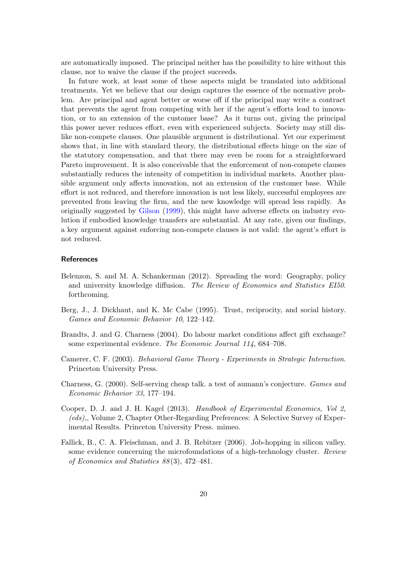are automatically imposed. The principal neither has the possibility to hire without this clause, nor to waive the clause if the project succeeds.

In future work, at least some of these aspects might be translated into additional treatments. Yet we believe that our design captures the essence of the normative problem. Are principal and agent better or worse off if the principal may write a contract that prevents the agent from competing with her if the agent's efforts lead to innovation, or to an extension of the customer base? As it turns out, giving the principal this power never reduces effort, even with experienced subjects. Society may still dislike non-compete clauses. One plausible argument is distributional. Yet our experiment shows that, in line with standard theory, the distributional effects hinge on the size of the statutory compensation, and that there may even be room for a straightforward Pareto improvement. It is also conceivable that the enforcement of non-compete clauses substantially reduces the intensity of competition in individual markets. Another plausible argument only affects innovation, not an extension of the customer base. While effort is not reduced, and therefore innovation is not less likely, successful employees are prevented from leaving the firm, and the new knowledge will spread less rapidly. As originally suggested by [Gilson](#page-22-5) [\(1999\)](#page-22-5), this might have adverse effects on industry evolution if embodied knowledge transfers are substantial. At any rate, given our findings, a key argument against enforcing non-compete clauses is not valid: the agent's effort is not reduced.

## References

- <span id="page-21-3"></span>Belenzon, S. and M. A. Schankerman (2012). Spreading the word: Geography, policy and university knowledge diffusion. The Review of Economics and Statistics EI50. forthcoming.
- <span id="page-21-0"></span>Berg, J., J. Dickhaut, and K. Mc Cabe (1995). Trust, reciprocity, and social history. Games and Economic Behavior 10, 122–142.
- <span id="page-21-5"></span>Brandts, J. and G. Charness (2004). Do labour market conditions affect gift exchange? some experimental evidence. The Economic Journal 114, 684–708.
- <span id="page-21-6"></span>Camerer, C. F. (2003). Behavioral Game Theory - Experiments in Strategic Interaction. Princeton University Press.
- <span id="page-21-4"></span>Charness, G. (2000). Self-serving cheap talk. a test of aumann's conjecture. Games and Economic Behavior 33, 177–194.
- <span id="page-21-1"></span>Cooper, D. J. and J. H. Kagel (2013). Handbook of Experimental Economics, Vol 2, (eds),, Volume 2, Chapter Other-Regarding Preferences: A Selective Survey of Experimental Results. Princeton University Press. mimeo.
- <span id="page-21-2"></span>Fallick, B., C. A. Fleischman, and J. B. Rebitzer (2006). Job-hopping in silicon valley. some evidence concerning the microfoundations of a high-technology cluster. Review of Economics and Statistics 88 (3), 472–481.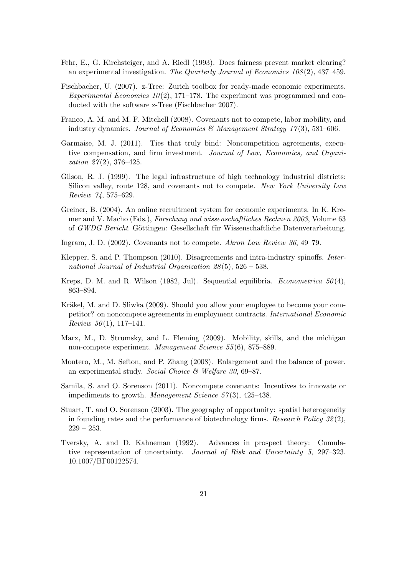- <span id="page-22-4"></span>Fehr, E., G. Kirchsteiger, and A. Riedl (1993). Does fairness prevent market clearing? an experimental investigation. The Quarterly Journal of Economics 108 (2), 437–459.
- <span id="page-22-10"></span>Fischbacher, U. (2007). z-Tree: Zurich toolbox for ready-made economic experiments. Experimental Economics  $10(2)$ , 171–178. The experiment was programmed and conducted with the software z-Tree (Fischbacher 2007).
- <span id="page-22-6"></span>Franco, A. M. and M. F. Mitchell (2008). Covenants not to compete, labor mobility, and industry dynamics. Journal of Economics & Management Strategy  $17(3)$ , 581–606.
- <span id="page-22-2"></span>Garmaise, M. J. (2011). Ties that truly bind: Noncompetition agreements, executive compensation, and firm investment. Journal of Law, Economics, and Organization  $27(2)$ , 376-425.
- <span id="page-22-5"></span>Gilson, R. J. (1999). The legal infrastructure of high technology industrial districts: Silicon valley, route 128, and covenants not to compete. New York University Law Review 74, 575–629.
- <span id="page-22-11"></span>Greiner, B. (2004). An online recruitment system for economic experiments. In K. Kremer and V. Macho (Eds.), Forschung und wissenschaftliches Rechnen 2003, Volume 63 of GWDG Bericht. Göttingen: Gesellschaft für Wissenschaftliche Datenverarbeitung.
- <span id="page-22-0"></span>Ingram, J. D. (2002). Covenants not to compete. Akron Law Review 36, 49–79.
- <span id="page-22-14"></span>Klepper, S. and P. Thompson (2010). Disagreements and intra-industry spinoffs. International Journal of Industrial Organization  $28(5)$ , 526 – 538.
- <span id="page-22-12"></span>Kreps, D. M. and R. Wilson (1982, Jul). Sequential equilibria. *Econometrica*  $50(4)$ , 863–894.
- <span id="page-22-3"></span>Kräkel, M. and D. Sliwka (2009). Should you allow your employee to become your competitor? on noncompete agreements in employment contracts. International Economic Review  $50(1)$ , 117-141.
- <span id="page-22-1"></span>Marx, M., D. Strumsky, and L. Fleming (2009). Mobility, skills, and the michigan non-compete experiment. Management Science 55 (6), 875–889.
- <span id="page-22-9"></span>Montero, M., M. Sefton, and P. Zhang (2008). Enlargement and the balance of power. an experimental study. Social Choice & Welfare 30, 69-87.
- <span id="page-22-8"></span>Samila, S. and O. Sorenson (2011). Noncompete covenants: Incentives to innovate or impediments to growth. *Management Science* 57(3), 425–438.
- <span id="page-22-7"></span>Stuart, T. and O. Sorenson (2003). The geography of opportunity: spatial heterogeneity in founding rates and the performance of biotechnology firms. Research Policy  $32(2)$ ,  $229 - 253.$
- <span id="page-22-13"></span>Tversky, A. and D. Kahneman (1992). Advances in prospect theory: Cumulative representation of uncertainty. Journal of Risk and Uncertainty 5, 297–323. 10.1007/BF00122574.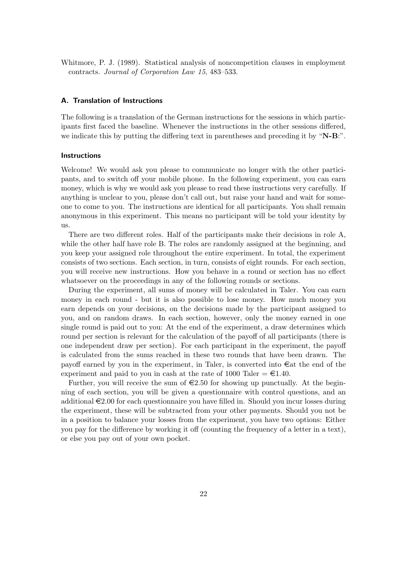<span id="page-23-0"></span>Whitmore, P. J. (1989). Statistical analysis of noncompetition clauses in employment contracts. Journal of Corporation Law 15, 483–533.

#### A. Translation of Instructions

The following is a translation of the German instructions for the sessions in which participants first faced the baseline. Whenever the instructions in the other sessions differed, we indicate this by putting the differing text in parentheses and preceding it by "N-B:".

#### **Instructions**

Welcome! We would ask you please to communicate no longer with the other participants, and to switch off your mobile phone. In the following experiment, you can earn money, which is why we would ask you please to read these instructions very carefully. If anything is unclear to you, please don't call out, but raise your hand and wait for someone to come to you. The instructions are identical for all participants. You shall remain anonymous in this experiment. This means no participant will be told your identity by us.

There are two different roles. Half of the participants make their decisions in role A, while the other half have role B. The roles are randomly assigned at the beginning, and you keep your assigned role throughout the entire experiment. In total, the experiment consists of two sections. Each section, in turn, consists of eight rounds. For each section, you will receive new instructions. How you behave in a round or section has no effect whatsoever on the proceedings in any of the following rounds or sections.

During the experiment, all sums of money will be calculated in Taler. You can earn money in each round - but it is also possible to lose money. How much money you earn depends on your decisions, on the decisions made by the participant assigned to you, and on random draws. In each section, however, only the money earned in one single round is paid out to you: At the end of the experiment, a draw determines which round per section is relevant for the calculation of the payoff of all participants (there is one independent draw per section). For each participant in the experiment, the payoff is calculated from the sums reached in these two rounds that have been drawn. The payoff earned by you in the experiment, in Taler, is converted into  $\epsilon$  at the end of the experiment and paid to you in cash at the rate of 1000 Taler  $= \text{\textsterling}1.40$ .

Further, you will receive the sum of  $\epsilon$ 2.50 for showing up punctually. At the beginning of each section, you will be given a questionnaire with control questions, and an additional  $\in 2.00$  for each questionnaire you have filled in. Should you incur losses during the experiment, these will be subtracted from your other payments. Should you not be in a position to balance your losses from the experiment, you have two options: Either you pay for the difference by working it off (counting the frequency of a letter in a text), or else you pay out of your own pocket.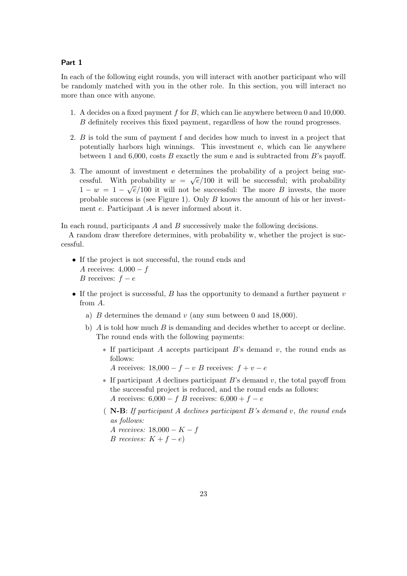#### Part 1

In each of the following eight rounds, you will interact with another participant who will be randomly matched with you in the other role. In this section, you will interact no more than once with anyone.

- 1. A decides on a fixed payment f for B, which can lie anywhere between 0 and 10,000. B definitely receives this fixed payment, regardless of how the round progresses.
- 2. B is told the sum of payment f and decides how much to invest in a project that potentially harbors high winnings. This investment e, which can lie anywhere between 1 and 6,000, costs  $B$  exactly the sum e and is subtracted from  $B$ 's payoff.
- 3. The amount of investment e determines the probability of a project being successful. With probability  $w = \sqrt{e}/100$  it will be successful; with probability  $1 - w = 1 - \sqrt{e}/100$  it will not be successful: The more B invests, the more probable success is (see Figure 1). Only B knows the amount of his or her investment e. Participant A is never informed about it.

In each round, participants A and B successively make the following decisions.

A random draw therefore determines, with probability w, whether the project is successful.

- If the project is not successful, the round ends and A receives:  $4.000 - f$ B receives:  $f - e$
- If the project is successful,  $B$  has the opportunity to demand a further payment  $v$ from A.
	- a)  $B$  determines the demand  $v$  (any sum between 0 and 18,000).
	- b) A is told how much B is demanding and decides whether to accept or decline. The round ends with the following payments:
		- $*$  If participant A accepts participant B's demand v, the round ends as follows:

A receives:  $18,000 - f - v$  B receives:  $f + v - e$ 

- $*$  If participant A declines participant B's demand v, the total payoff from the successful project is reduced, and the round ends as follows: A receives:  $6,000 - f$  B receives:  $6,000 + f - e$
- $(N-B: If$  participant A declines participant B's demand v, the round ends as follows: A receives:  $18,000 - K - f$ 
	- B receives:  $K + f e$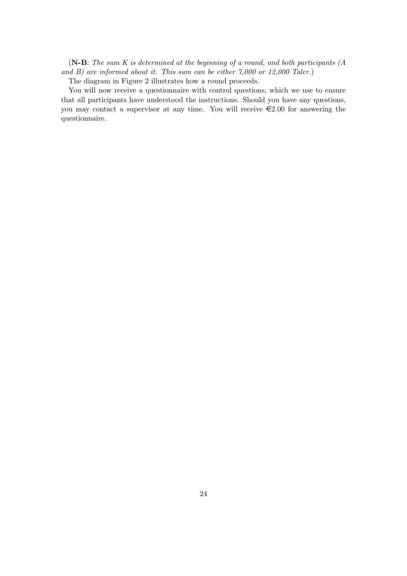(N-B: The sum K is determined at the beginning of a round, and both participants (A and B) are informed about it. This sum can be either 7,000 or 12,000 Taler.)

The diagram in Figure 2 illustrates how a round proceeds.

You will now receive a questionnaire with control questions, which we use to ensure that all participants have understood the instructions. Should you have any questions, you may contact a supervisor at any time. You will receive  $\epsilon$ 2.00 for answering the questionnaire.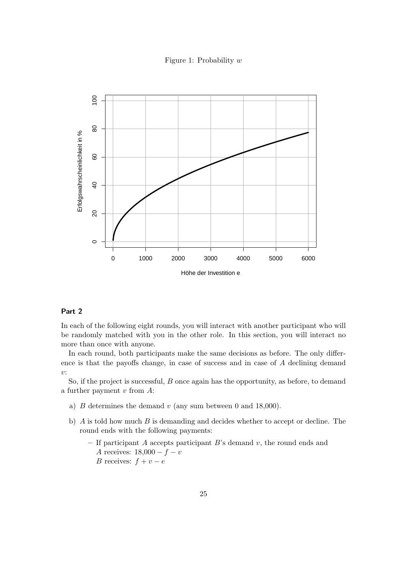Figure 1: Probability w



## Part 2

In each of the following eight rounds, you will interact with another participant who will be randomly matched with you in the other role. In this section, you will interact no more than once with anyone.

In each round, both participants make the same decisions as before. The only difference is that the payoffs change, in case of success and in case of A declining demand  $v:$ 

So, if the project is successful, B once again has the opportunity, as before, to demand a further payment  $v$  from  $A$ :

- a)  $B$  determines the demand  $v$  (any sum between 0 and 18,000).
- b) A is told how much B is demanding and decides whether to accept or decline. The round ends with the following payments:
	- If participant A accepts participant  $B$ 's demand  $v$ , the round ends and A receives:  $18,000 - f - v$ B receives:  $f + v - e$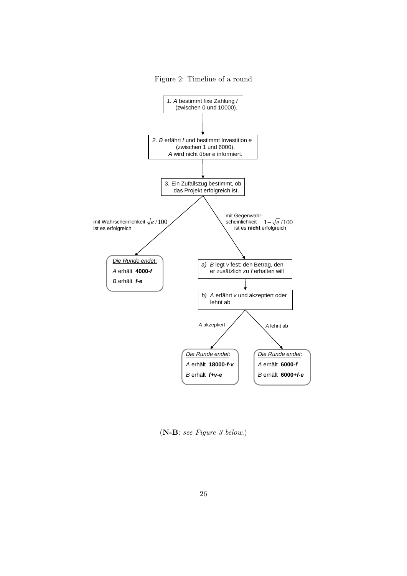## Figure 2: Timeline of a round



(N-B: see Figure 3 below.)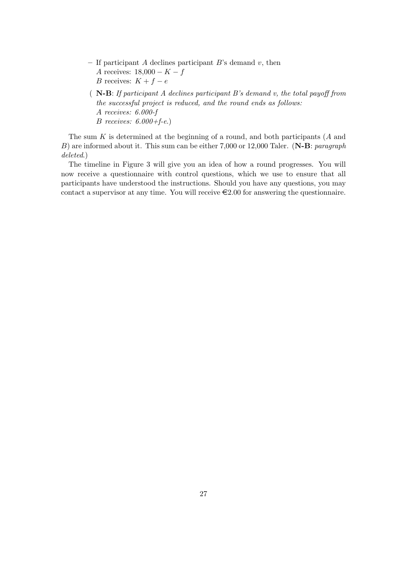- If participant  $A$  declines participant  $B$ 's demand  $v$ , then A receives:  $18,000 - K - f$ B receives:  $K + f - e$
- $(N-B: If$  participant A declines participant B's demand v, the total payoff from the successful project is reduced, and the round ends as follows: A receives: 6.000-f B receives: 6.000+f-e.)

The sum K is determined at the beginning of a round, and both participants (A and B) are informed about it. This sum can be either 7,000 or 12,000 Taler. (N-B: paragraph deleted.)

The timeline in Figure 3 will give you an idea of how a round progresses. You will now receive a questionnaire with control questions, which we use to ensure that all participants have understood the instructions. Should you have any questions, you may contact a supervisor at any time. You will receive  $\epsilon$ 2.00 for answering the questionnaire.